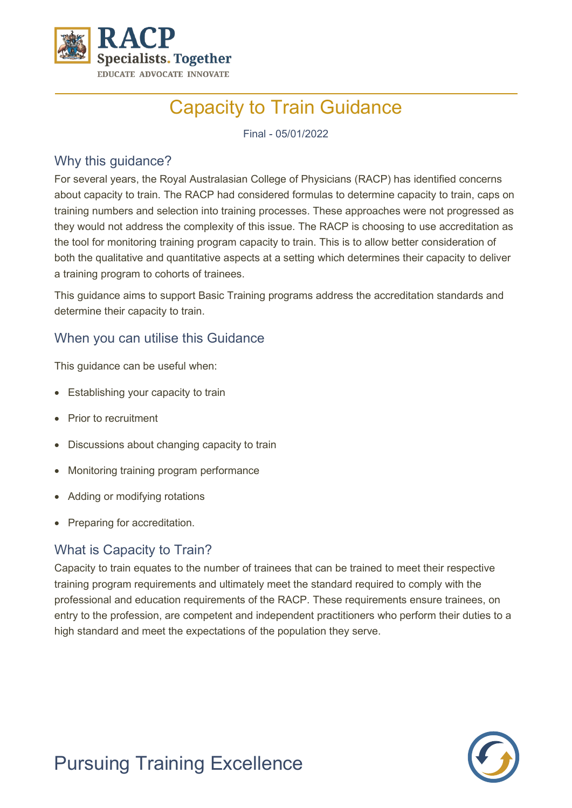

# Capacity to Train Guidance

Final - 05/01/2022

## Why this guidance?

For several years, the Royal Australasian College of Physicians (RACP) has identified concerns about capacity to train. The RACP had considered formulas to determine capacity to train, caps on training numbers and selection into training processes. These approaches were not progressed as they would not address the complexity of this issue. The RACP is choosing to use accreditation as the tool for monitoring training program capacity to train. This is to allow better consideration of both the qualitative and quantitative aspects at a setting which determines their capacity to deliver a training program to cohorts of trainees.

This guidance aims to support Basic Training programs address the accreditation standards and determine their capacity to train.

## When you can utilise this Guidance

This guidance can be useful when:

- Establishing your capacity to train
- Prior to recruitment
- Discussions about changing capacity to train
- Monitoring training program performance
- Adding or modifying rotations
- Preparing for accreditation.

## What is Capacity to Train?

Capacity to train equates to the number of trainees that can be trained to meet their respective training program requirements and ultimately meet the standard required to comply with the professional and education requirements of the RACP. These requirements ensure trainees, on entry to the profession, are competent and independent practitioners who perform their duties to a high standard and meet the expectations of the population they serve.



# Pursuing Training Excellence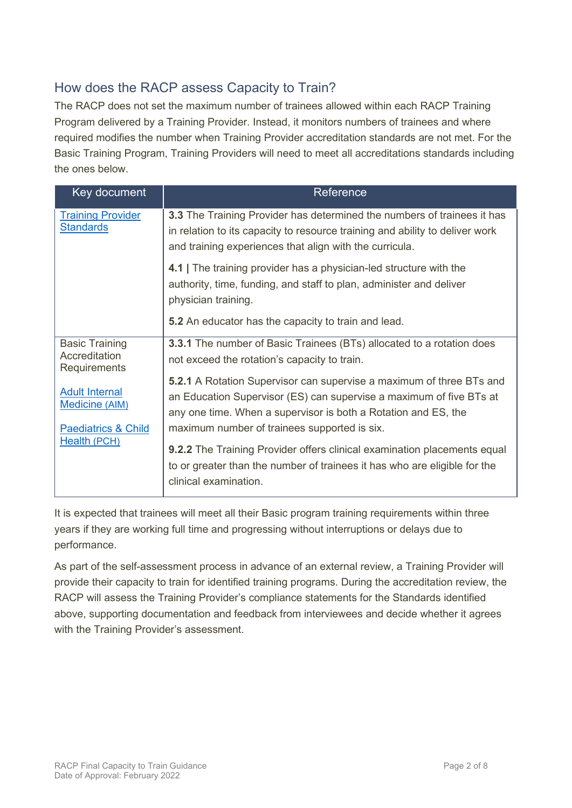## How does the RACP assess Capacity to Train?

The RACP does not set the maximum number of trainees allowed within each RACP Training Program delivered by a Training Provider. Instead, it monitors numbers of trainees and where required modifies the number when Training Provider accreditation standards are not met. For the Basic Training Program, Training Providers will need to meet all accreditations standards including the ones below.

| Key document                                                                                     | Reference                                                                                                                                                                                                                                                            |
|--------------------------------------------------------------------------------------------------|----------------------------------------------------------------------------------------------------------------------------------------------------------------------------------------------------------------------------------------------------------------------|
| <b>Training Provider</b><br><b>Standards</b>                                                     | 3.3 The Training Provider has determined the numbers of trainees it has<br>in relation to its capacity to resource training and ability to deliver work<br>and training experiences that align with the curricula.                                                   |
|                                                                                                  | 4.1 The training provider has a physician-led structure with the<br>authority, time, funding, and staff to plan, administer and deliver<br>physician training.                                                                                                       |
|                                                                                                  | 5.2 An educator has the capacity to train and lead.                                                                                                                                                                                                                  |
| <b>Basic Training</b><br>Accreditation<br>Requirements                                           | <b>3.3.1</b> The number of Basic Trainees (BTs) allocated to a rotation does<br>not exceed the rotation's capacity to train.                                                                                                                                         |
| <b>Adult Internal</b><br><b>Medicine (AIM)</b><br><b>Paediatrics &amp; Child</b><br>Health (PCH) | <b>5.2.1</b> A Rotation Supervisor can supervise a maximum of three BTs and<br>an Education Supervisor (ES) can supervise a maximum of five BTs at<br>any one time. When a supervisor is both a Rotation and ES, the<br>maximum number of trainees supported is six. |
|                                                                                                  | <b>9.2.2</b> The Training Provider offers clinical examination placements equal<br>to or greater than the number of trainees it has who are eligible for the<br>clinical examination.                                                                                |

It is expected that trainees will meet all their Basic program training requirements within three years if they are working full time and progressing without interruptions or delays due to performance.

As part of the self-assessment process in advance of an external review, a Training Provider will provide their capacity to train for identified training programs. During the accreditation review, the RACP will assess the Training Provider's compliance statements for the Standards identified above, supporting documentation and feedback from interviewees and decide whether it agrees with the Training Provider's assessment.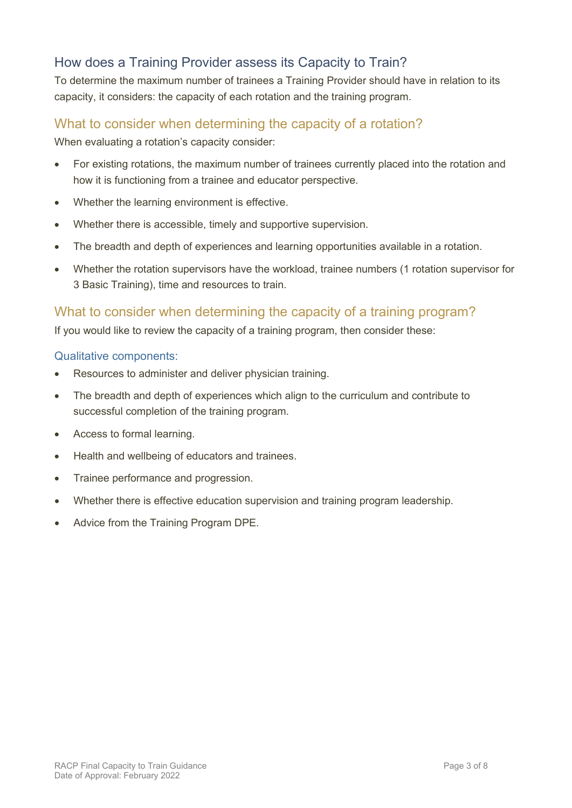## How does a Training Provider assess its Capacity to Train?

To determine the maximum number of trainees a Training Provider should have in relation to its capacity, it considers: the capacity of each rotation and the training program.

## What to consider when determining the capacity of a rotation?

When evaluating a rotation's capacity consider:

- For existing rotations, the maximum number of trainees currently placed into the rotation and how it is functioning from a trainee and educator perspective.
- Whether the learning environment is effective.
- Whether there is accessible, timely and supportive supervision.
- The breadth and depth of experiences and learning opportunities available in a rotation.
- Whether the rotation supervisors have the workload, trainee numbers (1 rotation supervisor for 3 Basic Training), time and resources to train.

## What to consider when determining the capacity of a training program?

If you would like to review the capacity of a training program, then consider these:

#### Qualitative components:

- Resources to administer and deliver physician training.
- The breadth and depth of experiences which align to the curriculum and contribute to successful completion of the training program.
- Access to formal learning.
- Health and wellbeing of educators and trainees.
- Trainee performance and progression.
- Whether there is effective education supervision and training program leadership.
- Advice from the Training Program DPE.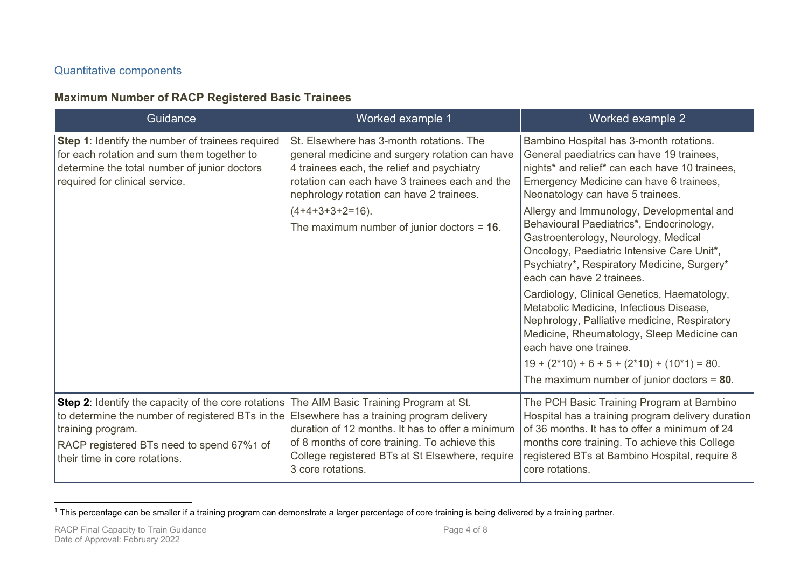#### <span id="page-3-0"></span>Quantitative components

## **Maximum Number of RACP Registered Basic Trainees**

| Guidance                                                                                                                                                                                                                                                                                   | Worked example 1                                                                                                                                                                                                                       | Worked example 2                                                                                                                                                                                                                                                     |
|--------------------------------------------------------------------------------------------------------------------------------------------------------------------------------------------------------------------------------------------------------------------------------------------|----------------------------------------------------------------------------------------------------------------------------------------------------------------------------------------------------------------------------------------|----------------------------------------------------------------------------------------------------------------------------------------------------------------------------------------------------------------------------------------------------------------------|
| Step 1: Identify the number of trainees required<br>for each rotation and sum them together to<br>determine the total number of junior doctors<br>required for clinical service.                                                                                                           | St. Elsewhere has 3-month rotations. The<br>general medicine and surgery rotation can have<br>4 trainees each, the relief and psychiatry<br>rotation can each have 3 trainees each and the<br>nephrology rotation can have 2 trainees. | Bambino Hospital has 3-month rotations.<br>General paediatrics can have 19 trainees,<br>nights* and relief* can each have 10 trainees,<br>Emergency Medicine can have 6 trainees,<br>Neonatology can have 5 trainees.                                                |
|                                                                                                                                                                                                                                                                                            | $(4+4+3+3+2=16)$ .<br>The maximum number of junior doctors = $16$ .                                                                                                                                                                    | Allergy and Immunology, Developmental and<br>Behavioural Paediatrics*, Endocrinology,<br>Gastroenterology, Neurology, Medical<br>Oncology, Paediatric Intensive Care Unit*,<br>Psychiatry*, Respiratory Medicine, Surgery*<br>each can have 2 trainees.              |
|                                                                                                                                                                                                                                                                                            |                                                                                                                                                                                                                                        | Cardiology, Clinical Genetics, Haematology,<br>Metabolic Medicine, Infectious Disease,<br>Nephrology, Palliative medicine, Respiratory<br>Medicine, Rheumatology, Sleep Medicine can<br>each have one trainee.                                                       |
|                                                                                                                                                                                                                                                                                            |                                                                                                                                                                                                                                        | $19 + (2*10) + 6 + 5 + (2*10) + (10*1) = 80.$<br>The maximum number of junior doctors = $80$ .                                                                                                                                                                       |
| Step 2: Identify the capacity of the core rotations The AIM Basic Training Program at St.<br>to determine the number of registered BTs in the Elsewhere has a training program delivery<br>training program.<br>RACP registered BTs need to spend 67%1 of<br>their time in core rotations. | duration of 12 months. It has to offer a minimum<br>of 8 months of core training. To achieve this<br>College registered BTs at St Elsewhere, require<br>3 core rotations.                                                              | The PCH Basic Training Program at Bambino<br>Hospital has a training program delivery duration<br>of 36 months. It has to offer a minimum of 24<br>months core training. To achieve this College<br>registered BTs at Bambino Hospital, require 8<br>core rotations. |

<sup>&</sup>lt;sup>1</sup> This percentage can be smaller if a training program can demonstrate a larger percentage of core training is being delivered by a training partner.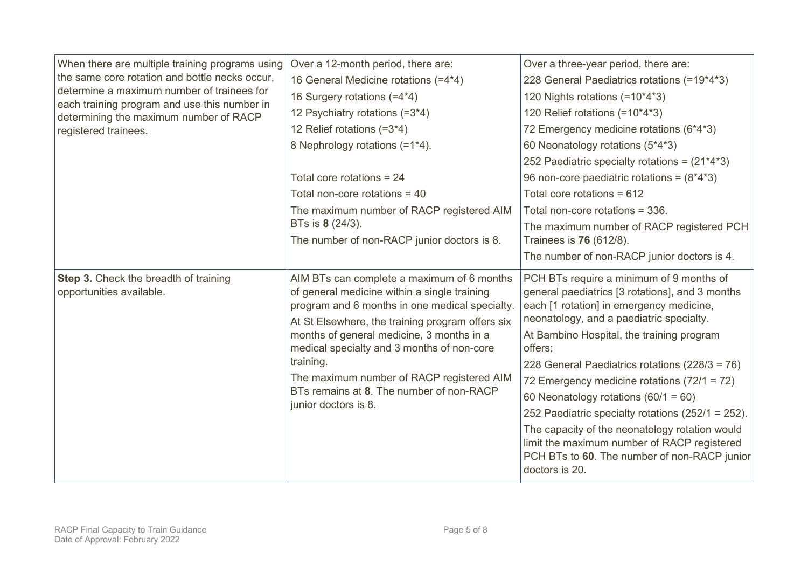| When there are multiple training programs using<br>the same core rotation and bottle necks occur,<br>determine a maximum number of trainees for<br>each training program and use this number in<br>determining the maximum number of RACP<br>registered trainees. | Over a 12-month period, there are:<br>16 General Medicine rotations (=4*4)<br>16 Surgery rotations (=4*4)<br>12 Psychiatry rotations (=3*4)<br>12 Relief rotations (=3*4)<br>8 Nephrology rotations (=1*4).                                                                                                                                                                                                               | Over a three-year period, there are:<br>228 General Paediatrics rotations (=19*4*3)<br>120 Nights rotations (=10*4*3)<br>120 Relief rotations (=10*4*3)<br>72 Emergency medicine rotations (6*4*3)<br>60 Neonatology rotations (5*4*3)<br>252 Paediatric specialty rotations = $(21*4*3)$                                                                                                                                                                                                                                                                                                                      |
|-------------------------------------------------------------------------------------------------------------------------------------------------------------------------------------------------------------------------------------------------------------------|---------------------------------------------------------------------------------------------------------------------------------------------------------------------------------------------------------------------------------------------------------------------------------------------------------------------------------------------------------------------------------------------------------------------------|----------------------------------------------------------------------------------------------------------------------------------------------------------------------------------------------------------------------------------------------------------------------------------------------------------------------------------------------------------------------------------------------------------------------------------------------------------------------------------------------------------------------------------------------------------------------------------------------------------------|
|                                                                                                                                                                                                                                                                   | Total core rotations = $24$<br>Total non-core rotations = 40                                                                                                                                                                                                                                                                                                                                                              | 96 non-core paediatric rotations = $(8*4*3)$<br>Total core rotations = 612                                                                                                                                                                                                                                                                                                                                                                                                                                                                                                                                     |
|                                                                                                                                                                                                                                                                   | The maximum number of RACP registered AIM<br>BTs is 8 (24/3).<br>The number of non-RACP junior doctors is 8.                                                                                                                                                                                                                                                                                                              | Total non-core rotations = 336.<br>The maximum number of RACP registered PCH<br>Trainees is <b>76</b> (612/8).<br>The number of non-RACP junior doctors is 4.                                                                                                                                                                                                                                                                                                                                                                                                                                                  |
| Step 3. Check the breadth of training<br>opportunities available.                                                                                                                                                                                                 | AIM BTs can complete a maximum of 6 months<br>of general medicine within a single training<br>program and 6 months in one medical specialty.<br>At St Elsewhere, the training program offers six<br>months of general medicine, 3 months in a<br>medical specialty and 3 months of non-core<br>training.<br>The maximum number of RACP registered AIM<br>BTs remains at 8. The number of non-RACP<br>junior doctors is 8. | PCH BTs require a minimum of 9 months of<br>general paediatrics [3 rotations], and 3 months<br>each [1 rotation] in emergency medicine,<br>neonatology, and a paediatric specialty.<br>At Bambino Hospital, the training program<br>offers:<br>228 General Paediatrics rotations (228/3 = 76)<br>72 Emergency medicine rotations (72/1 = 72)<br>60 Neonatology rotations $(60/1 = 60)$<br>252 Paediatric specialty rotations (252/1 = 252).<br>The capacity of the neonatology rotation would<br>limit the maximum number of RACP registered<br>PCH BTs to 60. The number of non-RACP junior<br>doctors is 20. |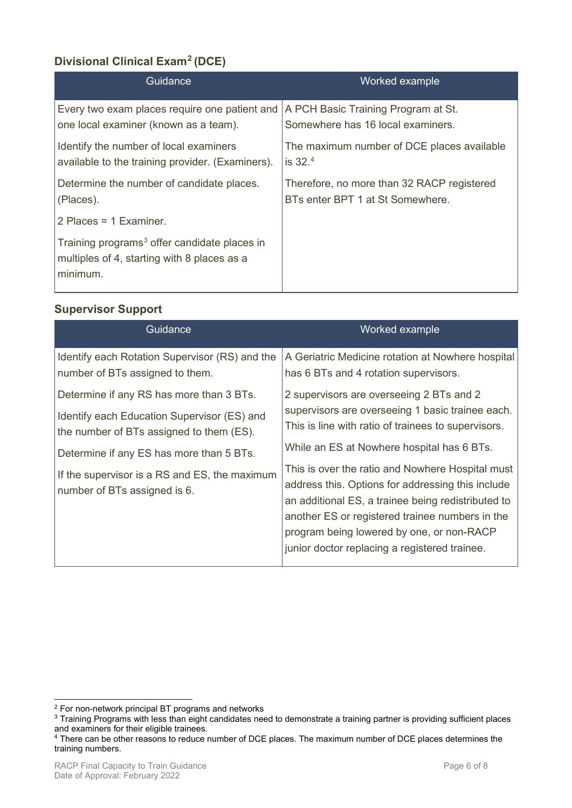# **Divisional Clinical Exam[2](#page-5-0) (DCE)**

| Guidance                                                                                                            | Worked example                             |
|---------------------------------------------------------------------------------------------------------------------|--------------------------------------------|
| Every two exam places require one patient and                                                                       | A PCH Basic Training Program at St.        |
| one local examiner (known as a team).                                                                               | Somewhere has 16 local examiners.          |
| Identify the number of local examiners                                                                              | The maximum number of DCE places available |
| available to the training provider. (Examiners).                                                                    | is $32.4$                                  |
| Determine the number of candidate places.                                                                           | Therefore, no more than 32 RACP registered |
| (Places).                                                                                                           | BTs enter BPT 1 at St Somewhere.           |
| 2 Places = $1$ Examiner.                                                                                            |                                            |
| Training programs <sup>3</sup> offer candidate places in<br>multiples of 4, starting with 8 places as a<br>minimum. |                                            |

#### **Supervisor Support**

| Guidance                                                                                                                            | Worked example                                                                                                                                                                                                                                                                                               |
|-------------------------------------------------------------------------------------------------------------------------------------|--------------------------------------------------------------------------------------------------------------------------------------------------------------------------------------------------------------------------------------------------------------------------------------------------------------|
| Identify each Rotation Supervisor (RS) and the<br>number of BTs assigned to them.                                                   | A Geriatric Medicine rotation at Nowhere hospital<br>has 6 BTs and 4 rotation supervisors.                                                                                                                                                                                                                   |
| Determine if any RS has more than 3 BTs.<br>Identify each Education Supervisor (ES) and<br>the number of BTs assigned to them (ES). | 2 supervisors are overseeing 2 BTs and 2<br>supervisors are overseeing 1 basic trainee each.<br>This is line with ratio of trainees to supervisors.                                                                                                                                                          |
| Determine if any ES has more than 5 BTs.                                                                                            | While an ES at Nowhere hospital has 6 BTs.                                                                                                                                                                                                                                                                   |
| If the supervisor is a RS and ES, the maximum<br>number of BTs assigned is 6.                                                       | This is over the ratio and Nowhere Hospital must<br>address this. Options for addressing this include<br>an additional ES, a trainee being redistributed to<br>another ES or registered trainee numbers in the<br>program being lowered by one, or non-RACP<br>junior doctor replacing a registered trainee. |

<span id="page-5-1"></span><span id="page-5-0"></span> $2$  For non-network principal BT programs and networks<br> $3$  Training Programs with less than eight candidates need to demonstrate a training partner is providing sufficient places and examiners for their eligible trainees.

<span id="page-5-2"></span><sup>4</sup> There can be other reasons to reduce number of DCE places. The maximum number of DCE places determines the training numbers.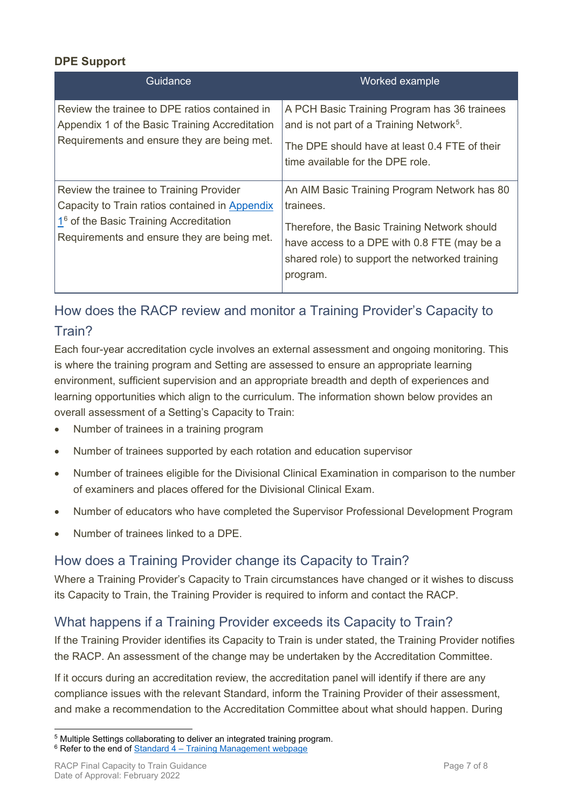### **DPE Support**

| Guidance                                                                                                                                                                                       | Worked example                                                                                                                                                                                                         |
|------------------------------------------------------------------------------------------------------------------------------------------------------------------------------------------------|------------------------------------------------------------------------------------------------------------------------------------------------------------------------------------------------------------------------|
| Review the trainee to DPE ratios contained in<br>Appendix 1 of the Basic Training Accreditation<br>Requirements and ensure they are being met.                                                 | A PCH Basic Training Program has 36 trainees<br>and is not part of a Training Network <sup>5</sup> .<br>The DPE should have at least 0.4 FTE of their<br>time available for the DPE role.                              |
| Review the trainee to Training Provider<br>Capacity to Train ratios contained in Appendix<br>1 <sup>6</sup> of the Basic Training Accreditation<br>Requirements and ensure they are being met. | An AIM Basic Training Program Network has 80<br>trainees.<br>Therefore, the Basic Training Network should<br>have access to a DPE with 0.8 FTE (may be a<br>shared role) to support the networked training<br>program. |

# How does the RACP review and monitor a Training Provider's Capacity to Train?

Each four-year accreditation cycle involves an external assessment and ongoing monitoring. This is where the training program and Setting are assessed to ensure an appropriate learning environment, sufficient supervision and an appropriate breadth and depth of experiences and learning opportunities which align to the curriculum. The information shown below provides an overall assessment of a Setting's Capacity to Train:

- Number of trainees in a training program
- Number of trainees supported by each rotation and education supervisor
- Number of trainees eligible for the Divisional Clinical Examination in comparison to the number of examiners and places offered for the Divisional Clinical Exam.
- Number of educators who have completed the Supervisor Professional Development Program
- Number of trainees linked to a DPE.

## How does a Training Provider change its Capacity to Train?

Where a Training Provider's Capacity to Train circumstances have changed or it wishes to discuss its Capacity to Train, the Training Provider is required to inform and contact the RACP.

## What happens if a Training Provider exceeds its Capacity to Train?

If the Training Provider identifies its Capacity to Train is under stated, the Training Provider notifies the RACP. An assessment of the change may be undertaken by the Accreditation Committee.

If it occurs during an accreditation review, the accreditation panel will identify if there are any compliance issues with the relevant Standard, inform the Training Provider of their assessment, and make a recommendation to the Accreditation Committee about what should happen. During

<span id="page-6-0"></span><sup>5</sup> Multiple Settings collaborating to deliver an integrated training program.

<span id="page-6-1"></span> $6$  Refer to the end of Standard  $4 -$  Training Management webpage